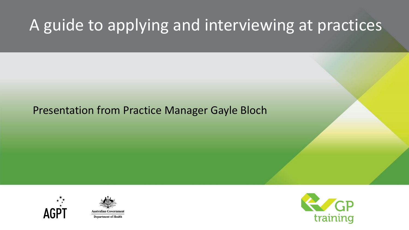# A guide to applying and interviewing at practices

### Presentation from Practice Manager Gayle Bloch





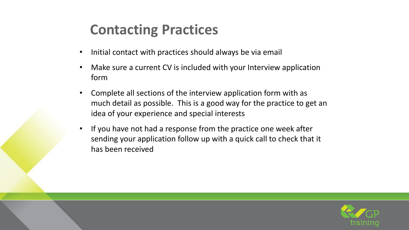### **Contacting Practices**

- Initial contact with practices should always be via email
- Make sure a current CV is included with your Interview application form
- Complete all sections of the interview application form with as much detail as possible. This is a good way for the practice to get an idea of your experience and special interests
- If you have not had a response from the practice one week after sending your application follow up with a quick call to check that it has been received

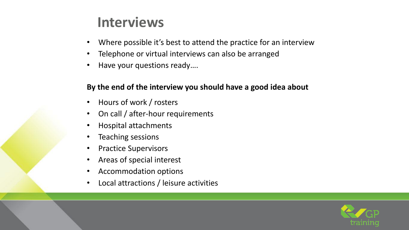### **Interviews**

- Where possible it's best to attend the practice for an interview
- Telephone or virtual interviews can also be arranged
- Have your questions ready....

#### **By the end of the interview you should have a good idea about**

- Hours of work / rosters
- On call / after-hour requirements
- Hospital attachments
- Teaching sessions
- Practice Supervisors
- Areas of special interest
- Accommodation options
- Local attractions / leisure activities

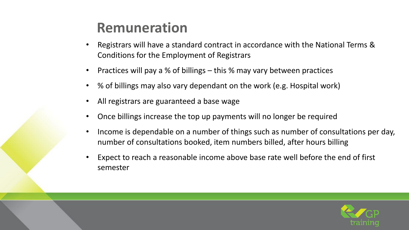### **Remuneration**

- Registrars will have a standard contract in accordance with the National Terms & Conditions for the Employment of Registrars
- Practices will pay a % of billings this % may vary between practices
- % of billings may also vary dependant on the work (e.g. Hospital work)
- All registrars are guaranteed a base wage
- Once billings increase the top up payments will no longer be required
- Income is dependable on a number of things such as number of consultations per day, number of consultations booked, item numbers billed, after hours billing
- Expect to reach a reasonable income above base rate well before the end of first semester

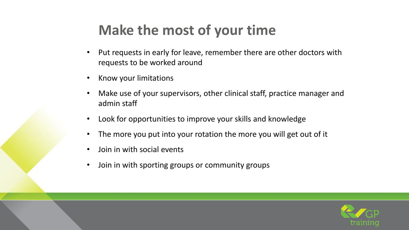## **Make the most of your time**

- Put requests in early for leave, remember there are other doctors with requests to be worked around
- Know your limitations
- Make use of your supervisors, other clinical staff, practice manager and admin staff
- Look for opportunities to improve your skills and knowledge
- The more you put into your rotation the more you will get out of it
- Join in with social events
- Join in with sporting groups or community groups